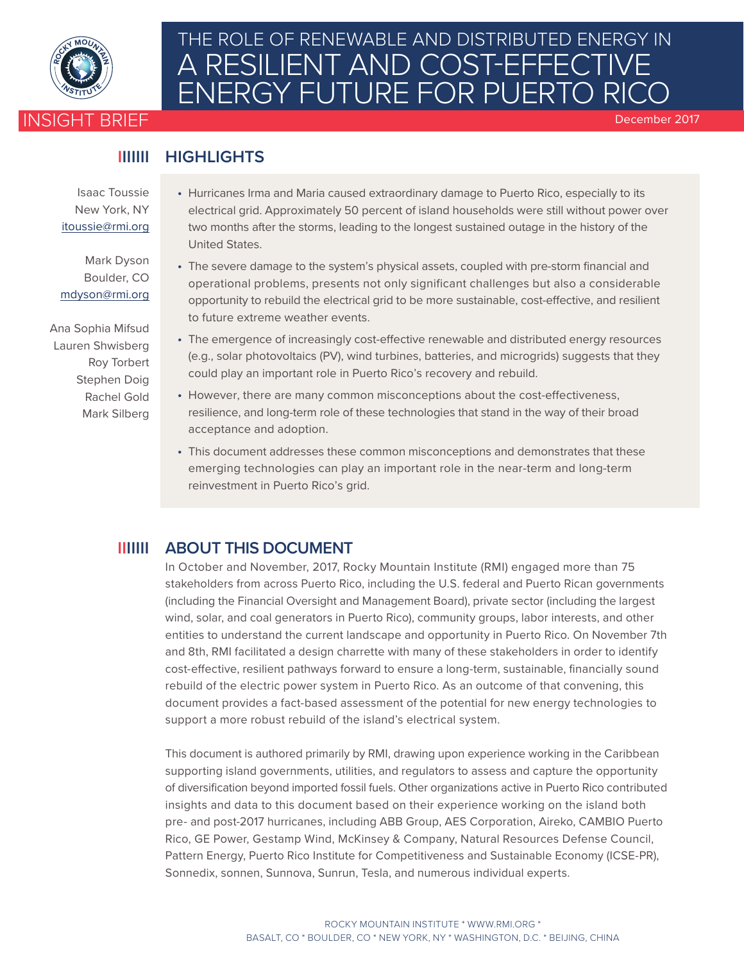

## INSIGHT BRIEF **<sup>W</sup>A<sup>R</sup> <sup>R</sup>O<sup>O</sup> <sup>M</sup> <sup>C</sup>ARBO<sup>N</sup>** THE ROLE OF RENEWABLE AND DISTRIBUTED ENERGY IN A RESILIENT AND COST-EFFECTIVE ENERGY FUTURE FOR PUERTO RIC

December 2017

#### **HIGHLIGHTS IIIIIII**

Isaac Toussie New York, NY itoussi[e@rmi.org](mailto: rgold@rmi.org) 

Mark Dyson Boulder, CO mdyso[n@rmi.org](mailto: rgold@rmi.org)

Ana Sophia Mifsud Lauren Shwisberg Roy Torbert Stephen Doig Rachel Gold Mark Silberg

- Hurricanes Irma and Maria caused extraordinary damage to Puerto Rico, especially to its electrical grid. Approximately 50 percent of island households were still without power over two months after the storms, leading to the longest sustained outage in the history of the United States.
- The severe damage to the system's physical assets, coupled with pre-storm financial and operational problems, presents not only significant challenges but also a considerable opportunity to rebuild the electrical grid to be more sustainable, cost-effective, and resilient to future extreme weather events.
- The emergence of increasingly cost-effective renewable and distributed energy resources (e.g., solar photovoltaics (PV), wind turbines, batteries, and microgrids) suggests that they could play an important role in Puerto Rico's recovery and rebuild.
- However, there are many common misconceptions about the cost-effectiveness, resilience, and long-term role of these technologies that stand in the way of their broad acceptance and adoption.
- This document addresses these common misconceptions and demonstrates that these emerging technologies can play an important role in the near-term and long-term reinvestment in Puerto Rico's grid.

## **IIIIIII ABOUT THIS DOCUMENT**

In October and November, 2017, Rocky Mountain Institute (RMI) engaged more than 75 stakeholders from across Puerto Rico, including the U.S. federal and Puerto Rican governments (including the Financial Oversight and Management Board), private sector (including the largest wind, solar, and coal generators in Puerto Rico), community groups, labor interests, and other entities to understand the current landscape and opportunity in Puerto Rico. On November 7th and 8th, RMI facilitated a design charrette with many of these stakeholders in order to identify cost-effective, resilient pathways forward to ensure a long-term, sustainable, financially sound rebuild of the electric power system in Puerto Rico. As an outcome of that convening, this document provides a fact-based assessment of the potential for new energy technologies to support a more robust rebuild of the island's electrical system.

This document is authored primarily by RMI, drawing upon experience working in the Caribbean supporting island governments, utilities, and regulators to assess and capture the opportunity of diversification beyond imported fossil fuels. Other organizations active in Puerto Rico contributed insights and data to this document based on their experience working on the island both pre- and post-2017 hurricanes, including ABB Group, AES Corporation, Aireko, CAMBIO Puerto Rico, GE Power, Gestamp Wind, McKinsey & Company, Natural Resources Defense Council, Pattern Energy, Puerto Rico Institute for Competitiveness and Sustainable Economy (ICSE-PR), Sonnedix, sonnen, Sunnova, Sunrun, Tesla, and numerous individual experts.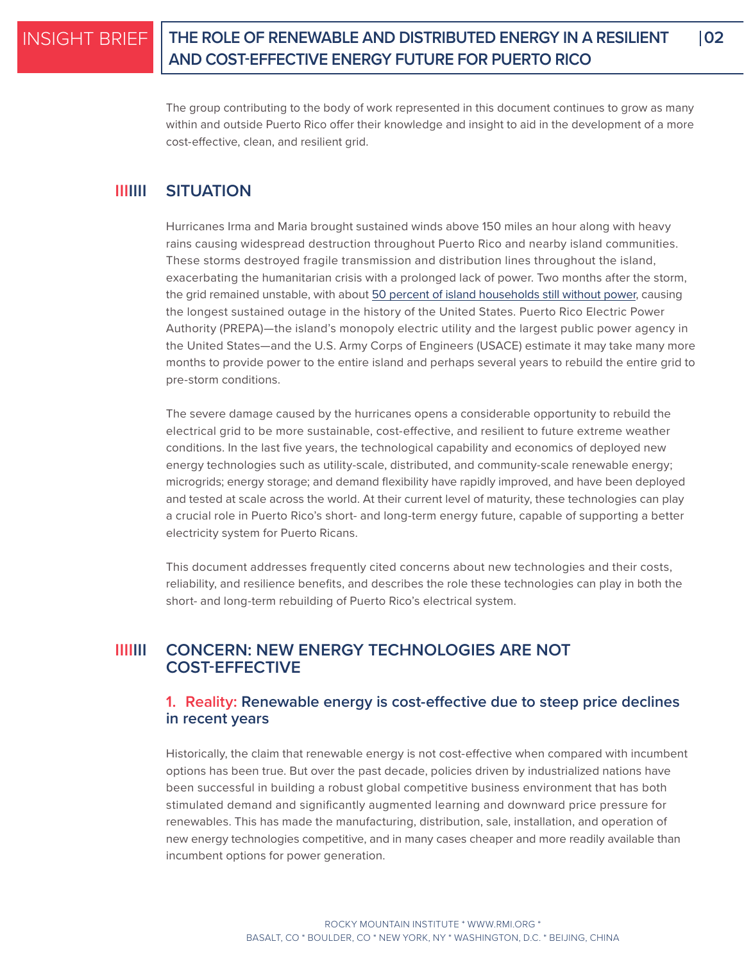## **THE ROLE OF RENEWABLE AND DISTRIBUTED ENERGY IN A RESILIENT 02 AND COST-EFFECTIVE ENERGY FUTURE FOR PUERTO RICO**

The group contributing to the body of work represented in this document continues to grow as many within and outside Puerto Rico offer their knowledge and insight to aid in the development of a more cost-effective, clean, and resilient grid.

#### **IIIIIII SITUATION**

Hurricanes Irma and Maria brought sustained winds above 150 miles an hour along with heavy rains causing widespread destruction throughout Puerto Rico and nearby island communities. These storms destroyed fragile transmission and distribution lines throughout the island, exacerbating the humanitarian crisis with a prolonged lack of power. Two months after the storm, the grid remained unstable, with about [50 percent of island households still without power](https://www.washingtonpost.com/graphics/2017/national/puerto-rico-hurricane-recovery/?utm_term=.8d6d29dac91b), causing the longest sustained outage in the history of the United States. Puerto Rico Electric Power Authority (PREPA)—the island's monopoly electric utility and the largest public power agency in the United States—and the U.S. Army Corps of Engineers (USACE) estimate it may take many more months to provide power to the entire island and perhaps several years to rebuild the entire grid to pre-storm conditions.

The severe damage caused by the hurricanes opens a considerable opportunity to rebuild the electrical grid to be more sustainable, cost-effective, and resilient to future extreme weather conditions. In the last five years, the technological capability and economics of deployed new energy technologies such as utility-scale, distributed, and community-scale renewable energy; microgrids; energy storage; and demand flexibility have rapidly improved, and have been deployed and tested at scale across the world. At their current level of maturity, these technologies can play a crucial role in Puerto Rico's short- and long-term energy future, capable of supporting a better electricity system for Puerto Ricans.

This document addresses frequently cited concerns about new technologies and their costs, reliability, and resilience benefits, and describes the role these technologies can play in both the short- and long-term rebuilding of Puerto Rico's electrical system.

#### **IIIIIII CONCERN: NEW ENERGY TECHNOLOGIES ARE NOT COST-EFFECTIVE**

### **1. Reality: Renewable energy is cost-effective due to steep price declines in recent years**

Historically, the claim that renewable energy is not cost-effective when compared with incumbent options has been true. But over the past decade, policies driven by industrialized nations have been successful in building a robust global competitive business environment that has both stimulated demand and significantly augmented learning and downward price pressure for renewables. This has made the manufacturing, distribution, sale, installation, and operation of new energy technologies competitive, and in many cases cheaper and more readily available than incumbent options for power generation.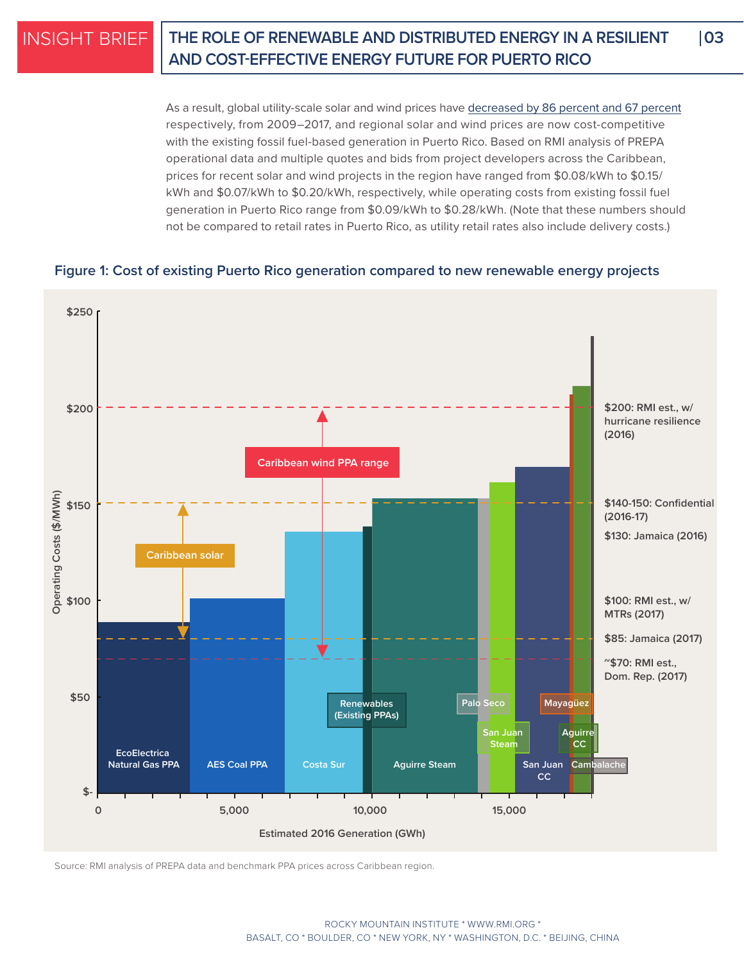## **THE ROLE OF RENEWABLE AND DISTRIBUTED ENERGY IN A RESILIENT 03 AND COST-EFFECTIVE ENERGY FUTURE FOR PUERTO RICO**

As a result, global utility-scale solar and wind prices have [decreased by 86 percent and 67 percent](https://www.lazard.com/media/450337/lazard-levelized-cost-of-energy-version-110.pdf) respectively, from 2009–2017, and regional solar and wind prices are now cost-competitive with the existing fossil fuel-based generation in Puerto Rico. Based on RMI analysis of PREPA operational data and multiple quotes and bids from project developers across the Caribbean, prices for recent solar and wind projects in the region have ranged from \$0.08/kWh to \$0.15/ kWh and \$0.07/kWh to \$0.20/kWh, respectively, while operating costs from existing fossil fuel generation in Puerto Rico range from \$0.09/kWh to \$0.28/kWh. (Note that these numbers should not be compared to retail rates in Puerto Rico, as utility retail rates also include delivery costs.)

### **Figure 1: Cost of existing Puerto Rico generation compared to new renewable energy projects**



Source: RMI analysis of PREPA data and benchmark PPA prices across Caribbean region.

ROCKY MOUNTAIN INSTITUTE \* [WWW.RMI.ORG](http://www.RMI.org) \* BASALT, CO \* BOULDER, CO \* NEW YORK, NY \* WASHINGTON, D.C. \* BEIJING, CHINA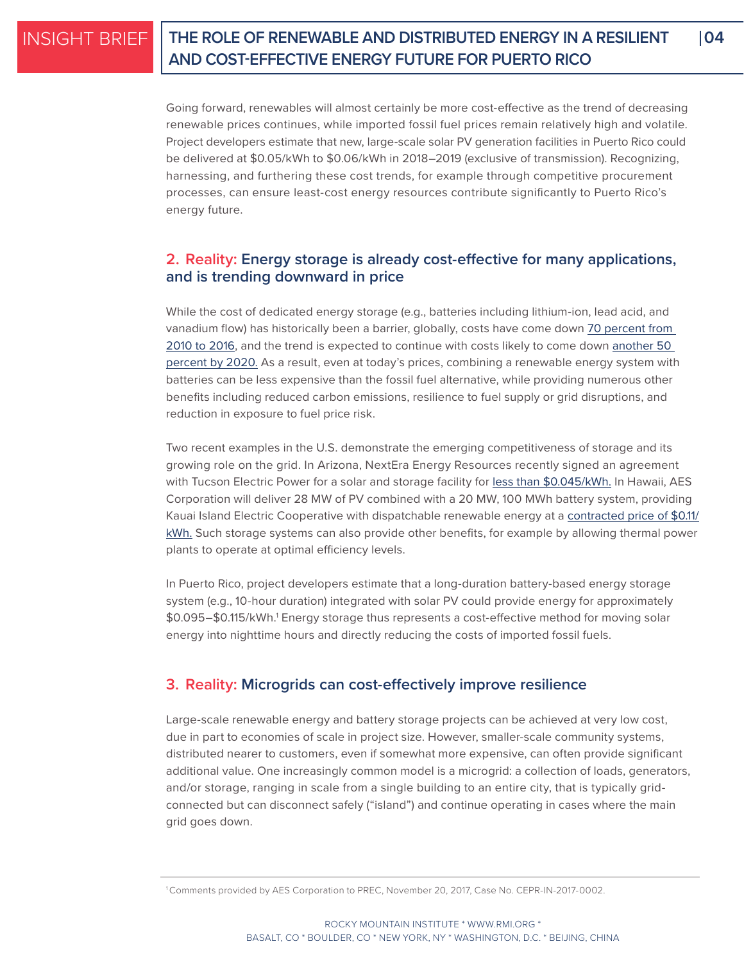# **THE ROLE OF RENEWABLE AND DISTRIBUTED ENERGY IN A RESILIENT 04 AND COST-EFFECTIVE ENERGY FUTURE FOR PUERTO RICO**

Going forward, renewables will almost certainly be more cost-effective as the trend of decreasing renewable prices continues, while imported fossil fuel prices remain relatively high and volatile. Project developers estimate that new, large-scale solar PV generation facilities in Puerto Rico could be delivered at \$0.05/kWh to \$0.06/kWh in 2018–2019 (exclusive of transmission). Recognizing, harnessing, and furthering these cost trends, for example through competitive procurement processes, can ensure least-cost energy resources contribute significantly to Puerto Rico's energy future.

## **2. Reality: Energy storage is already cost-effective for many applications, and is trending downward in price**

While the cost of dedicated energy storage (e.g., batteries including lithium-ion, lead acid, and vanadium flow) has historically been a barrier, globally, costs have come down [70 percent from](https://data.bloomberglp.com/bnef/sites/14/2017/09/BNEF-Summit-London-2017-Michael-Liebreich-State-of-the-Industry.pdf)  [2010 to 2016](https://data.bloomberglp.com/bnef/sites/14/2017/09/BNEF-Summit-London-2017-Michael-Liebreich-State-of-the-Industry.pdf), and the trend is expected to continue with costs likely to come down [another 50](https://www.mckinsey.com/business-functions/sustainability-and-resource-productivity/our-insights/the-new-economics-of-energy-storage)  [percent by 2020.](https://www.mckinsey.com/business-functions/sustainability-and-resource-productivity/our-insights/the-new-economics-of-energy-storage) As a result, even at today's prices, combining a renewable energy system with batteries can be less expensive than the fossil fuel alternative, while providing numerous other benefits including reduced carbon emissions, resilience to fuel supply or grid disruptions, and reduction in exposure to fuel price risk.

Two recent examples in the U.S. demonstrate the emerging competitiveness of storage and its growing role on the grid. In Arizona, NextEra Energy Resources recently signed an agreement with Tucson Electric Power for a solar and storage facility for [less than \\$0.045/kWh.](https://www.utilitydive.com/news/how-can-tucson-electric-get-solar-storage-for-45kwh/443715/) In Hawaii, AES Corporation will deliver 28 MW of PV combined with a 20 MW, 100 MWh battery system, providing Kauai Island Electric Cooperative with dispatchable renewable energy at a [contracted price of \\$0.11/](https://www.utilitydive.com/news/hawaii-co-op-signs-deal-for-solarstorage-project-at-11kwh/433744/) [kWh.](https://www.utilitydive.com/news/hawaii-co-op-signs-deal-for-solarstorage-project-at-11kwh/433744/) Such storage systems can also provide other benefits, for example by allowing thermal power plants to operate at optimal efficiency levels.

In Puerto Rico, project developers estimate that a long-duration battery-based energy storage system (e.g., 10-hour duration) integrated with solar PV could provide energy for approximately \$0.095–\$0.115/kWh.1 Energy storage thus represents a cost-effective method for moving solar energy into nighttime hours and directly reducing the costs of imported fossil fuels.

## **3. Reality: Microgrids can cost-effectively improve resilience**

Large-scale renewable energy and battery storage projects can be achieved at very low cost, due in part to economies of scale in project size. However, smaller-scale community systems, distributed nearer to customers, even if somewhat more expensive, can often provide significant additional value. One increasingly common model is a microgrid: a collection of loads, generators, and/or storage, ranging in scale from a single building to an entire city, that is typically gridconnected but can disconnect safely ("island") and continue operating in cases where the main grid goes down.

<sup>1</sup> Comments provided by AES Corporation to PREC, November 20, 2017, Case No. CEPR-IN-2017-0002.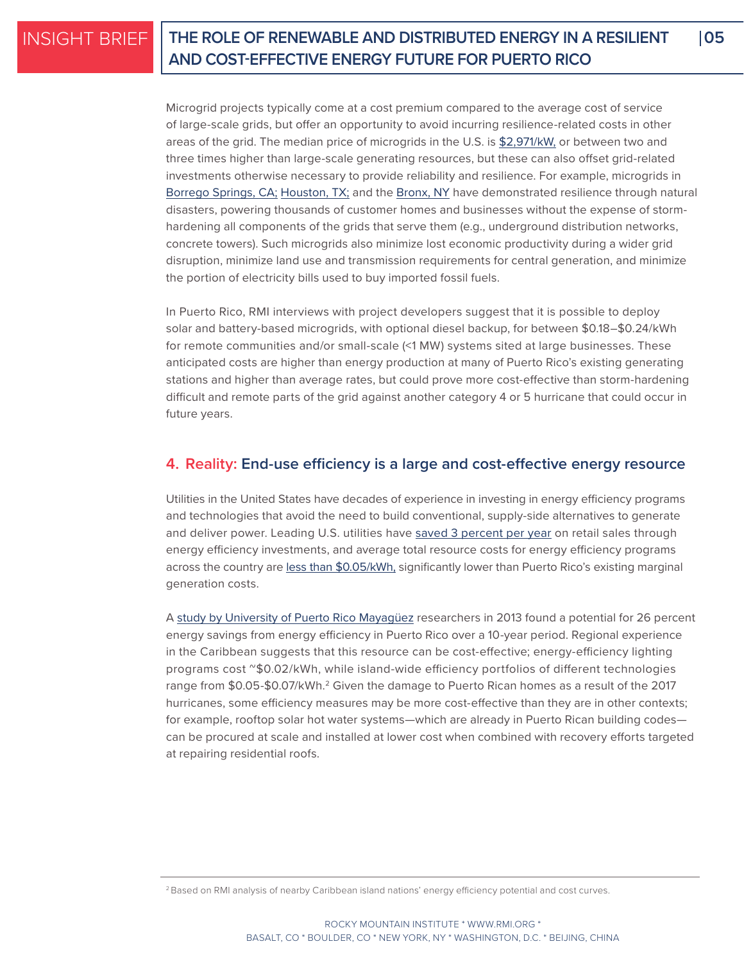## **THE ROLE OF RENEWABLE AND DISTRIBUTED ENERGY IN A RESILIENT 05 AND COST-EFFECTIVE ENERGY FUTURE FOR PUERTO RICO**

Microgrid projects typically come at a cost premium compared to the average cost of service of large-scale grids, but offer an opportunity to avoid incurring resilience-related costs in other areas of the grid. The median price of microgrids in the U.S. is [\\$2,971/kW,](https://www.greentechmedia.com/research/report/us-microgrids-2017#gs.VUfWwtw) or between two and three times higher than large-scale generating resources, but these can also offset grid-related investments otherwise necessary to provide reliability and resilience. For example, microgrids in [Borrego Springs, CA](http://www.energy.ca.gov/research/notices/2015-10-07_workshop/presentations/03_SDG_and_E_BorregoSprings_10-7-15.pdf); [Houston, TX](http://www.powermag.com/microgrid-system-keeps-houston-grocery-stores-open-in-wake-of-harvey/); and the [Bronx, NY](https://www.forbes.com/forbes/welcome/?toURL=https://www.forbes.com/sites/williampentland/2012/10/31/where-the-lights-stayed-on-during-hurricane-sandy/&refURL=&referrer=#55709cf67074) have demonstrated resilience through natural disasters, powering thousands of customer homes and businesses without the expense of stormhardening all components of the grids that serve them (e.g., underground distribution networks, concrete towers). Such microgrids also minimize lost economic productivity during a wider grid disruption, minimize land use and transmission requirements for central generation, and minimize the portion of electricity bills used to buy imported fossil fuels.

In Puerto Rico, RMI interviews with project developers suggest that it is possible to deploy solar and battery-based microgrids, with optional diesel backup, for between \$0.18–\$0.24/kWh for remote communities and/or small-scale (<1 MW) systems sited at large businesses. These anticipated costs are higher than energy production at many of Puerto Rico's existing generating stations and higher than average rates, but could prove more cost-effective than storm-hardening difficult and remote parts of the grid against another category 4 or 5 hurricane that could occur in future years.

### **4. Reality: End-use efficiency is a large and cost-effective energy resource**

Utilities in the United States have decades of experience in investing in energy efficiency programs and technologies that avoid the need to build conventional, supply-side alternatives to generate and deliver power. Leading U.S. utilities have [saved 3 percent per year](http://aceee.org/research-report/u1707) on retail sales through energy efficiency investments, and average total resource costs for energy efficiency programs across the country are [less than \\$0.05/kWh,](https://emp.lbl.gov/sites/all/files/total-cost-of-saved-energy.pdf) significantly lower than Puerto Rico's existing marginal generation costs.

A [study by University of Puerto Rico Mayagüez](http://www.ijeit.com/vol%202/Issue%208/IJEIT1412201302_01.pdf) researchers in 2013 found a potential for 26 percent energy savings from energy efficiency in Puerto Rico over a 10-year period. Regional experience in the Caribbean suggests that this resource can be cost-effective; energy-efficiency lighting programs cost  $\textdegree$ \$0.02/kWh, while island-wide efficiency portfolios of different technologies range from \$0.05-\$0.07/kWh.<sup>2</sup> Given the damage to Puerto Rican homes as a result of the 2017 hurricanes, some efficiency measures may be more cost-effective than they are in other contexts; for example, rooftop solar hot water systems—which are already in Puerto Rican building codes can be procured at scale and installed at lower cost when combined with recovery efforts targeted at repairing residential roofs.

<sup>&</sup>lt;sup>2</sup> Based on RMI analysis of nearby Caribbean island nations' energy efficiency potential and cost curves.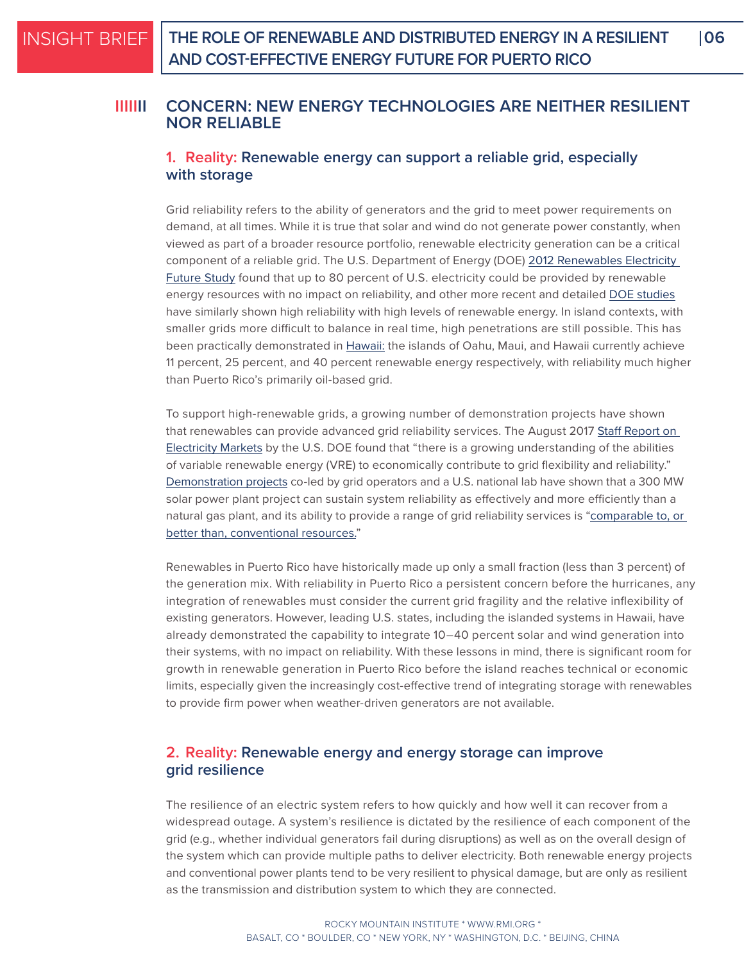#### **CONCERN: NEW ENERGY TECHNOLOGIES ARE NEITHER RESILIENT NOR RELIABLE IIIIIII**

### **1. Reality: Renewable energy can support a reliable grid, especially with storage**

Grid reliability refers to the ability of generators and the grid to meet power requirements on demand, at all times. While it is true that solar and wind do not generate power constantly, when viewed as part of a broader resource portfolio, renewable electricity generation can be a critical component of a reliable grid. The U.S. Department of Energy (DOE) 2012 Renewables Electricity [Future Study](https://www.nrel.gov/analysis/re-futures.html) found that up to 80 percent of U.S. electricity could be provided by renewable energy resources with no impact on reliability, and other more recent and detailed [DOE studies](https://www.nrel.gov/grid/ergis.html) have similarly shown high reliability with high levels of renewable energy. In island contexts, with smaller grids more difficult to balance in real time, high penetrations are still possible. This has been practically demonstrated in [Hawaii:](https://www.hawaiianelectric.com/clean-energy-hawaii/clean-energy-facts/about-our-fuel-mix) the islands of Oahu, Maui, and Hawaii currently achieve 11 percent, 25 percent, and 40 percent renewable energy respectively, with reliability much higher than Puerto Rico's primarily oil-based grid.

To support high-renewable grids, a growing number of demonstration projects have shown that renewables can provide advanced grid reliability services. The August 2017 Staff Report on [Electricity Markets](https://energy.gov/downloads/download-staff-report-secretary-electricity-markets-and-reliability) by the U.S. DOE found that "there is a growing understanding of the abilities of variable renewable energy (VRE) to economically contribute to grid flexibility and reliability." [Demonstration projects](https://www.nrel.gov/docs/fy17osti/67799.pdf) co-led by grid operators and a U.S. national lab have shown that a 300 MW solar power plant project can sustain system reliability as effectively and more efficiently than a natural gas plant, and its ability to provide a range of grid reliability services is ["comparable to, or](https://www.caiso.com/Documents/UsingRenewablesToOperateLow-CarbonGrid.pdf)  [better than, conventional resources.](https://www.caiso.com/Documents/UsingRenewablesToOperateLow-CarbonGrid.pdf)"

Renewables in Puerto Rico have historically made up only a small fraction (less than 3 percent) of the generation mix. With reliability in Puerto Rico a persistent concern before the hurricanes, any integration of renewables must consider the current grid fragility and the relative inflexibility of existing generators. However, leading U.S. states, including the islanded systems in Hawaii, have already demonstrated the capability to integrate 10–40 percent solar and wind generation into their systems, with no impact on reliability. With these lessons in mind, there is significant room for growth in renewable generation in Puerto Rico before the island reaches technical or economic limits, especially given the increasingly cost-effective trend of integrating storage with renewables to provide firm power when weather-driven generators are not available.

### **2. Reality: Renewable energy and energy storage can improve grid resilience**

The resilience of an electric system refers to how quickly and how well it can recover from a widespread outage. A system's resilience is dictated by the resilience of each component of the grid (e.g., whether individual generators fail during disruptions) as well as on the overall design of the system which can provide multiple paths to deliver electricity. Both renewable energy projects and conventional power plants tend to be very resilient to physical damage, but are only as resilient as the transmission and distribution system to which they are connected.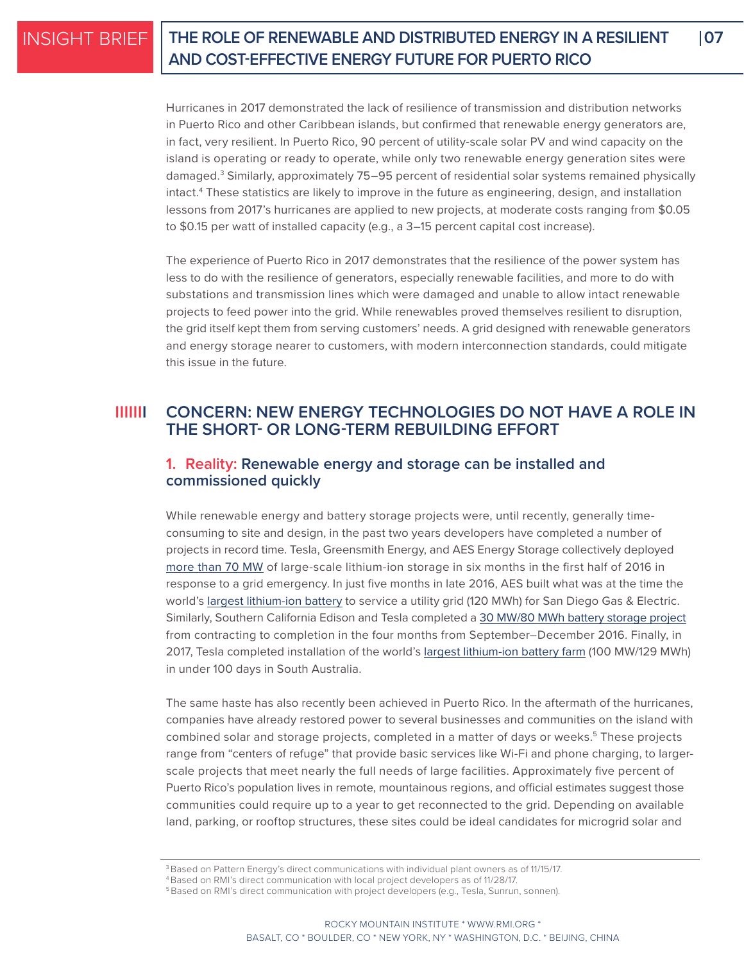## **THE ROLE OF RENEWABLE AND DISTRIBUTED ENERGY IN A RESILIENT 07 AND COST-EFFECTIVE ENERGY FUTURE FOR PUERTO RICO**

Hurricanes in 2017 demonstrated the lack of resilience of transmission and distribution networks in Puerto Rico and other Caribbean islands, but confirmed that renewable energy generators are, in fact, very resilient. In Puerto Rico, 90 percent of utility-scale solar PV and wind capacity on the island is operating or ready to operate, while only two renewable energy generation sites were damaged.<sup>3</sup> Similarly, approximately 75–95 percent of residential solar systems remained physically intact.4 These statistics are likely to improve in the future as engineering, design, and installation lessons from 2017's hurricanes are applied to new projects, at moderate costs ranging from \$0.05 to \$0.15 per watt of installed capacity (e.g., a 3–15 percent capital cost increase).

The experience of Puerto Rico in 2017 demonstrates that the resilience of the power system has less to do with the resilience of generators, especially renewable facilities, and more to do with substations and transmission lines which were damaged and unable to allow intact renewable projects to feed power into the grid. While renewables proved themselves resilient to disruption, the grid itself kept them from serving customers' needs. A grid designed with renewable generators and energy storage nearer to customers, with modern interconnection standards, could mitigate this issue in the future.

#### **CONCERN: NEW ENERGY TECHNOLOGIES DO NOT HAVE A ROLE IN THE SHORT- OR LONG-TERM REBUILDING EFFORT IIIIIII**

### **1. Reality: Renewable energy and storage can be installed and commissioned quickly**

While renewable energy and battery storage projects were, until recently, generally timeconsuming to site and design, in the past two years developers have completed a number of projects in record time. Tesla, Greensmith Energy, and AES Energy Storage collectively deployed [more than 70 MW](https://www.greentechmedia.com/articles/read/aliso-canyon-emergency-batteries-officially-up-and-running-from-tesla-green) of large-scale lithium-ion storage in six months in the first half of 2016 in response to a grid emergency. In just five months in late 2016, AES built what was at the time the world's [largest lithium-ion battery](https://www.utilitydive.com/news/inside-construction-of-the-worlds-largest-lithium-ion-battery-storage-faci/431765/) to service a utility grid (120 MWh) for San Diego Gas & Electric. Similarly, Southern California Edison and Tesla completed a [30 MW/80 MWh battery storage project](https://electrek.co/2017/01/23/tesla-mira-loma-powerpack-station-southern-california-edison/) from contracting to completion in the four months from September–December 2016. Finally, in 2017, Tesla completed installation of the world's [largest lithium-ion battery farm](https://www.vox.com/energy-and-environment/2017/11/28/16709036/elon-musk-biggest-battery-100-days) (100 MW/129 MWh) in under 100 days in South Australia.

The same haste has also recently been achieved in Puerto Rico. In the aftermath of the hurricanes, companies have already restored power to several businesses and communities on the island with combined solar and storage projects, completed in a matter of days or weeks.<sup>5</sup> These projects range from "centers of refuge" that provide basic services like Wi-Fi and phone charging, to largerscale projects that meet nearly the full needs of large facilities. Approximately five percent of Puerto Rico's population lives in remote, mountainous regions, and official estimates suggest those communities could require up to a year to get reconnected to the grid. Depending on available land, parking, or rooftop structures, these sites could be ideal candidates for microgrid solar and

 $^3$ Based on Pattern Energy's direct communications with individual plant owners as of 11/15/17.

<sup>4</sup> Based on RMI's direct communication with local project developers as of 11/28/17.

<sup>&</sup>lt;sup>5</sup> Based on RMI's direct communication with project developers (e.g., Tesla, Sunrun, sonnen).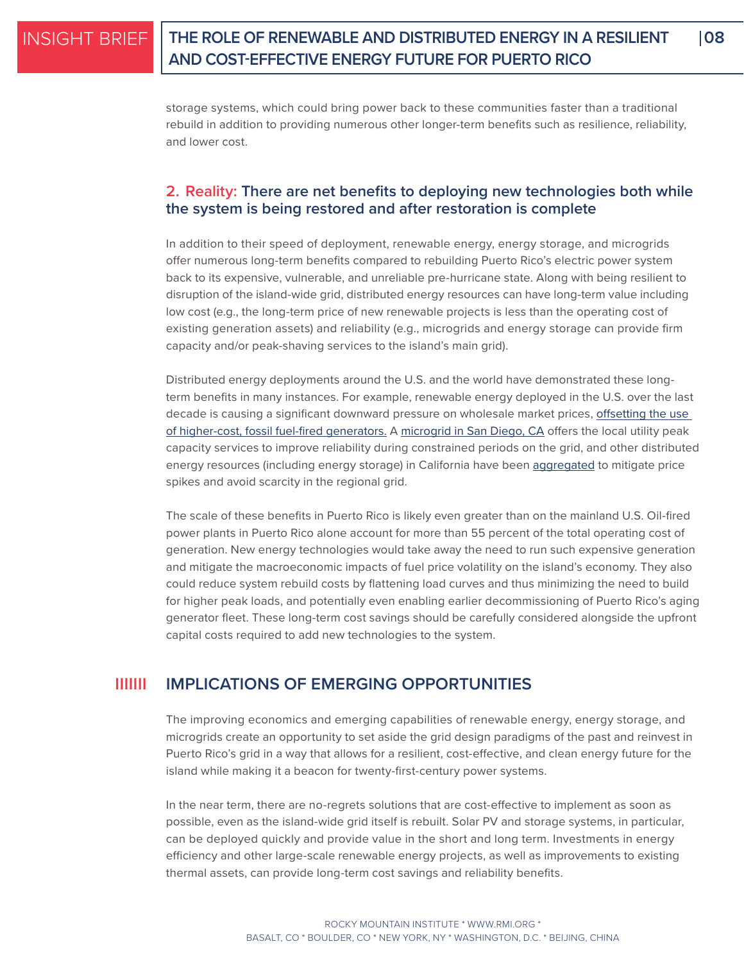## **THE ROLE OF RENEWABLE AND DISTRIBUTED ENERGY IN A RESILIENT 08 AND COST-EFFECTIVE ENERGY FUTURE FOR PUERTO RICO**

storage systems, which could bring power back to these communities faster than a traditional rebuild in addition to providing numerous other longer-term benefits such as resilience, reliability, and lower cost.

### **2. Reality: There are net benefits to deploying new technologies both while the system is being restored and after restoration is complete**

In addition to their speed of deployment, renewable energy, energy storage, and microgrids offer numerous long-term benefits compared to rebuilding Puerto Rico's electric power system back to its expensive, vulnerable, and unreliable pre-hurricane state. Along with being resilient to disruption of the island-wide grid, distributed energy resources can have long-term value including low cost (e.g., the long-term price of new renewable projects is less than the operating cost of existing generation assets) and reliability (e.g., microgrids and energy storage can provide firm capacity and/or peak-shaving services to the island's main grid).

Distributed energy deployments around the U.S. and the world have demonstrated these longterm benefits in many instances. For example, renewable energy deployed in the U.S. over the last decade is causing a significant downward pressure on wholesale market prices, [offsetting the use](https://emp.lbl.gov/sites/default/files/lbnl_anl_impacts_of_variable_renewable_energy_final.pdf)  [of higher-cost, fossil fuel-fired generators.](https://emp.lbl.gov/sites/default/files/lbnl_anl_impacts_of_variable_renewable_energy_final.pdf) A [microgrid in San Diego, CA](https://www.greentechmedia.com/articles/read/byrom-washom-master-of-the-microgrid#gs.S=F1APo) offers the local utility peak capacity services to improve reliability during constrained periods on the grid, and other distributed energy resources (including energy storage) in California have been [aggregated](https://www.utilitydive.com/news/hiding-in-plain-sight-aggregated-ders-in-wholesale-power-markets/446292/) to mitigate price spikes and avoid scarcity in the regional grid.

The scale of these benefits in Puerto Rico is likely even greater than on the mainland U.S. Oil-fired power plants in Puerto Rico alone account for more than 55 percent of the total operating cost of generation. New energy technologies would take away the need to run such expensive generation and mitigate the macroeconomic impacts of fuel price volatility on the island's economy. They also could reduce system rebuild costs by flattening load curves and thus minimizing the need to build for higher peak loads, and potentially even enabling earlier decommissioning of Puerto Rico's aging generator fleet. These long-term cost savings should be carefully considered alongside the upfront capital costs required to add new technologies to the system.

#### **IMPLICATIONS OF EMERGING OPPORTUNITIES IIIIIII**

The improving economics and emerging capabilities of renewable energy, energy storage, and microgrids create an opportunity to set aside the grid design paradigms of the past and reinvest in Puerto Rico's grid in a way that allows for a resilient, cost-effective, and clean energy future for the island while making it a beacon for twenty-first-century power systems.

In the near term, there are no-regrets solutions that are cost-effective to implement as soon as possible, even as the island-wide grid itself is rebuilt. Solar PV and storage systems, in particular, can be deployed quickly and provide value in the short and long term. Investments in energy efficiency and other large-scale renewable energy projects, as well as improvements to existing thermal assets, can provide long-term cost savings and reliability benefits.